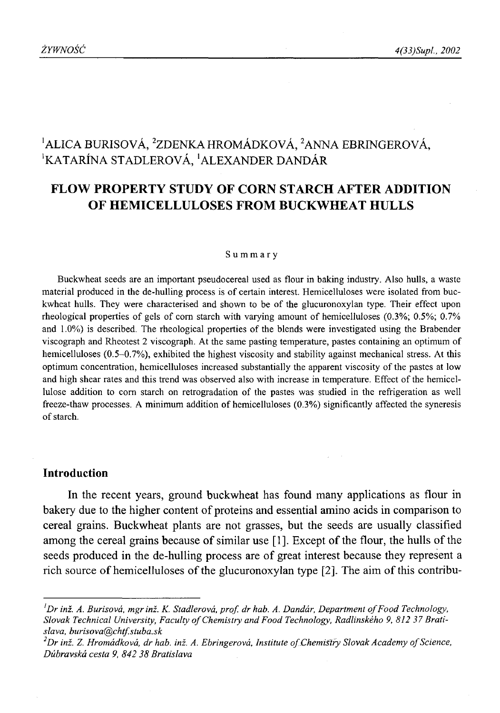# <sup>1</sup> ALICA BURISOVÁ, <sup>2</sup>ZDENKA HROMÁDKOVÁ, <sup>2</sup>ANNA EBRINGEROVÁ, 'KATARINA STADLEROVA, 'ALEXANDER DANDAR

# **FLOW PROPERTY STUDY OF CORN STARCH AFTER ADDITION OF HEMICELLULOSES FROM BUCKWHEAT HULLS**

#### Summary

Buckwheat seeds are an important pseudocereal used as flour in baking industry. Also hulls, a waste material produced in the de-hulling process is of certain interest. Hemicelluloses were isolated from buckwheat hulls. They were characterised and shown to be of the glucuronoxylan type. Their effect upon rheological properties of gels of com starch with varying amount of hemicelluloses (0.3%; 0.5%; 0.7% and 1.0%) is described. The rheological properties of the blends were investigated using the Brabender viscograph and Rheotest 2 viscograph. At the same pasting temperature, pastes containing an optimum of hemicelluloses (0.5-0.7%), exhibited the highest viscosity and stability against mechanical stress. At this optimum concentration, hemicelluloses increased substantially the apparent viscosity of the pastes at low and high shear rates and this trend was observed also with increase in temperature. Effect of the hemicellulose addition to com starch on retrogradation of the pastes was studied in the refrigeration as well freeze-thaw processes. A minimum addition of hemicelluloses (0.3%) significantly affected the syneresis of starch.

# **Introduction**

In the recent years, ground buckwheat has found many applications as flour in bakery due to the higher content of proteins and essential amino acids in comparison to cereal grains. Buckwheat plants are not grasses, but the seeds are usually classified among the cereal grains because of similar use [1]. Except of the flour, the hulls of the seeds produced in the de-hulling process are of great interest because they represent a rich source of hemicelluloses of the glucuronoxylan type  $[2]$ . The aim of this contribu-

*lDr inź. A. Burisova, mgr inź. K. Stadlerova, prof. dr hab. A. Dandar, Department o f Food Technology,* Slovak Technical University, Faculty of Chemistry and Food Technology, Radlinského 9, 812 37 Brati*slava, [burisova@chtfstuba.sk](mailto:burisova@chtfstuba.sk)*

<sup>&</sup>lt;sup>2</sup> Dr inž. Z. *Hromádková, dr hab. inž. A. Ebringerová, Institute of Chemistiry Slovak Academy of Science, Dubravska cesta 9, 842 38 Bratislava*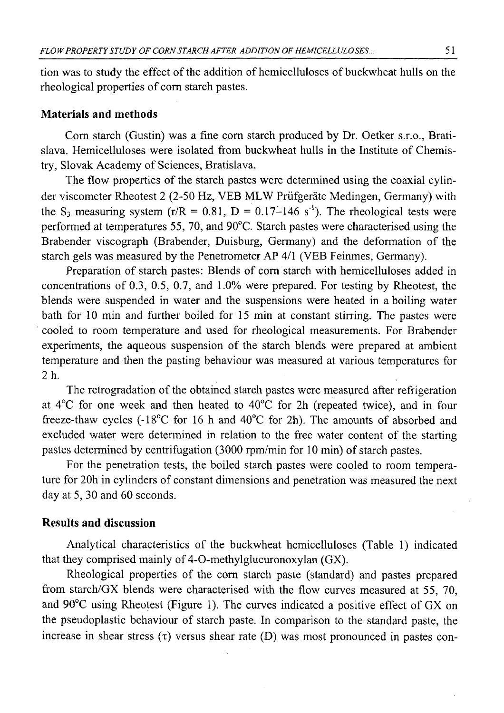tion was to study the effect of the addition of hemicelluloses of buckwheat hulls on the rheological properties of corn starch pastes.

# **Materials and methods**

Com starch (Gustin) was a fine com starch produced by Dr. Oetker s.r.o., Bratislava. Hemicelluloses were isolated from buckwheat hulls in the Institute of Chemistry, Slovak Academy of Sciences, Bratislava.

The flow properties of the starch pastes were determined using the coaxial cylinder viscometer Rheotest 2 (2-50 Hz, VEB MLW Priifgerate Medingen, Germany) with the S<sub>3</sub> measuring system (r/R = 0.81, D = 0.17–146 s<sup>-1</sup>). The rheological tests were performed at temperatures 55, 70, and 90°C. Starch pastes were characterised using the Brabender viscograph (Brabender, Duisburg, Germany) and the deformation of the starch gels was measured by the Penetrometer AP 4/1 (VEB Feinmes, Germany).

Preparation of starch pastes: Blends of com starch with hemicelluloses added in concentrations of 0.3, 0.5, 0.7, and 1.0% were prepared. For testing by Rheotest, the blends were suspended in water and the suspensions were heated in a boiling water bath for 10 min and further boiled for 15 min at constant stirring. The pastes were cooled to room temperature and used for rheological measurements. For Brabender experiments, the aqueous suspension of the starch blends were prepared at ambient temperature and then the pasting behaviour was measured at various temperatures for <sup>2</sup> h.

The retrogradation of the obtained starch pastes were measured after refrigeration at  $4^{\circ}$ C for one week and then heated to  $40^{\circ}$ C for 2h (repeated twice), and in four freeze-thaw cycles (-18°C for 16 h and 40°C for 2h). The amounts of absorbed and excluded water were determined in relation to the free water content of the starting pastes determined by centrifugation (3000 rpm/min for 10 min) of starch pastes.

For the penetration tests, the boiled starch pastes were cooled to room temperature for 20h in cylinders of constant dimensions and penetration was measured the next day at 5, 30 and 60 seconds.

## **Results and discussion**

Analytical characteristics of the buckwheat hemicelluloses (Table 1) indicated that they comprised mainly of 4-O-methylglucuronoxylan (GX).

Rheological properties of the corn starch paste (standard) and pastes prepared from starch/GX blends were characterised with the flow curves measured at 55, 70, and 90°C using Rheotest (Figure 1). The curves indicated a positive effect of GX on the pseudoplastic behaviour of starch paste. In comparison to the standard paste, the increase in shear stress  $(\tau)$  versus shear rate  $(D)$  was most pronounced in pastes con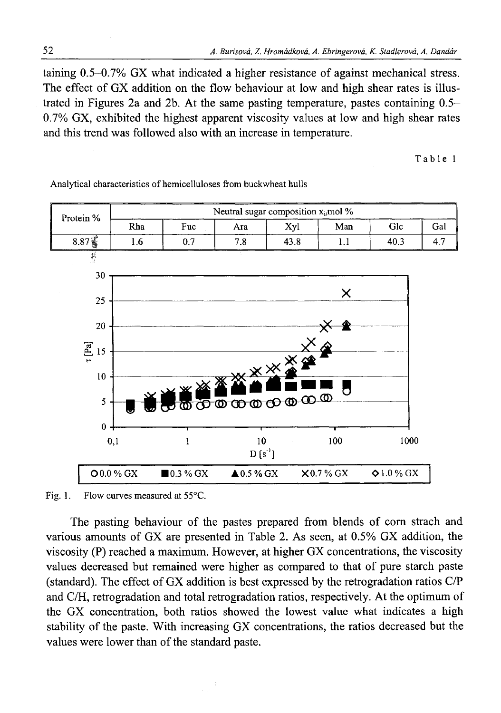taining 0.5-0.7% GX what indicated a higher resistance of against mechanical stress. The effect of GX addition on the flow behaviour at low and high shear rates is illustrated in Figures 2a and 2b. At the same pasting temperature, pastes containing 0.5- 0.7% GX, exhibited the highest apparent viscosity values at low and high shear rates and this trend was followed also with an increase in temperature.

Table 1



Analytical characteristics of hemicelluloses from buckwheat hulls

Fig. 1. Flow curves measured at 55°C.

The pasting behaviour of the pastes prepared from blends of corn strach and various amounts of GX are presented in Table 2. As seen, at 0.5% GX addition, the viscosity (P) reached a maximum. However, at higher GX concentrations, the viscosity values decreased but remained were higher as compared to that of pure starch paste (standard). The effect of GX addition is best expressed by the retrogradation ratios C/P and C/H, retrogradation and total retrogradation ratios, respectively. At the optimum of the GX concentration, both ratios showed the lowest value what indicates a high stability of the paste. With increasing GX concentrations, the ratios decreased but the values were lower than of the standard paste.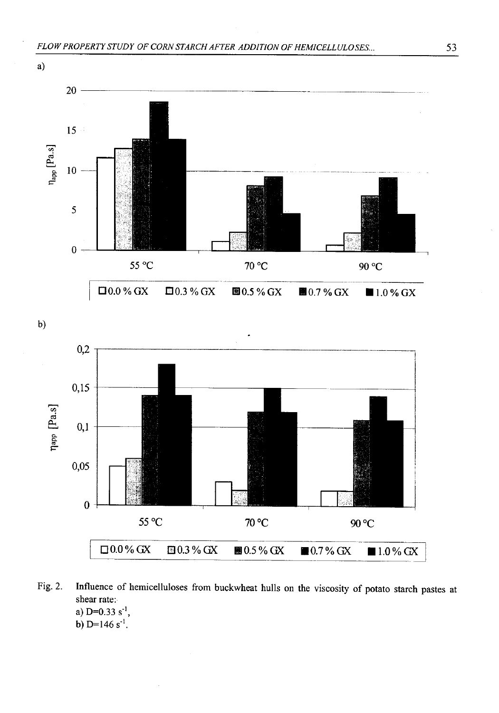

b)



- Fig. 2. Influence of hemicelluloses from buckwheat hulls on the viscosity of potato starch pastes at shear rate: a) D=0.33 s<sup>-1</sup>,
	- b)  $D=146 s^{-1}$ .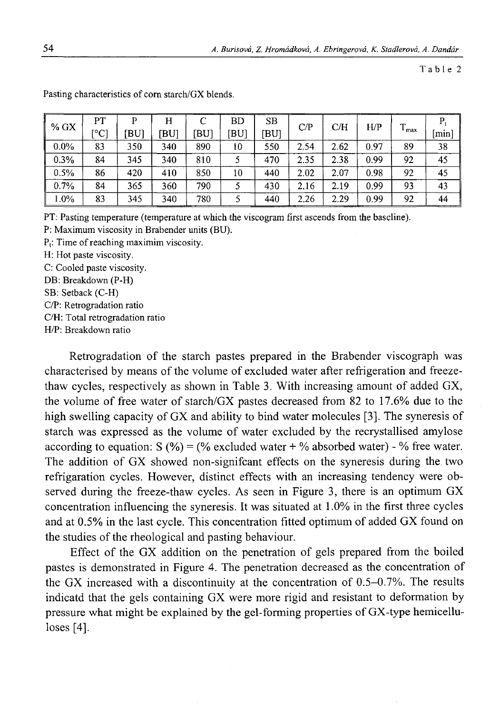Table 2

| $%$ GX  | PT   | P    | H    |      | BD   | SВ   | C/P  | C/H  | H/P  | T     | P   |
|---------|------|------|------|------|------|------|------|------|------|-------|-----|
|         | [°C] | 'BUI | IBUI | [BU] | [BU] | ibui |      |      |      | - max | min |
| $0.0\%$ | 83   | 350  | 340  | 890  | 10   | 550  | 2.54 | 2.62 | 0.97 | 89    | 38  |
| 0.3%    | 84   | 345  | 340  | 810  |      | 470  | 2.35 | 2.38 | 0.99 | 92    | 45  |
| 0.5%    | 86   | 420  | 410  | 850  | 10   | 440  | 2.02 | 2.07 | 0.98 | 92    | 45  |
| 0.7%    | 84   | 365  | 360  | 790  |      | 430  | 2.16 | 2.19 | 0.99 | 93    | 43  |
| 1.0%    | 83   | 345  | 340  | 780  |      | 440  | 2.26 | 2.29 | 0.99 | 92    | 44  |

Pasting characteristics of com starch/GX blends.

PT: Pasting temperature (temperature at which the viscogram first ascends from the baseline).

P: Maximum viscosity in Brabender units (BU).

 $P_t$ : Time of reaching maximim viscosity.

H: Hot paste viscosity.

C: Cooled paste viscosity.

DB: Breakdown (P-H)

SB: Setback (C-H)

C/P: Retrogradation ratio

C/H: Total retrogradation ratio

H/P: Breakdown ratio

Retrogradation of the starch pastes prepared in the Brabender viscograph was characterised by means of the volume of excluded water after refrigeration and freezethaw cycles, respectively as shown in Table 3. With increasing amount of added GX, the volume of free water of starch/GX pastes decreased from 82 to 17.6% due to the high swelling capacity of GX and ability to bind water molecules [3]. The syneresis of starch was expressed as the volume of water excluded by the recrystallised amylose according to equation:  $S(\%) = (\%$  excluded water + % absorbed water) - % free water. The addition of GX showed non-signifcant effects on the syneresis during the two refrigaration cycles. However, distinct effects with an increasing tendency were observed during the freeze-thaw cycles. As seen in Figure 3, there is an optimum GX concentration influencing the syneresis. It was situated at 1.0% in the first three cycles and at 0.5% in the last cycle. This concentration fitted optimum of added GX found on the studies of the rheological and pasting behaviour.

Effect of the GX addition on the penetration of gels prepared from the boiled pastes is demonstrated in Figure 4. The penetration decreased as the concentration of the GX increased with a discontinuity at the concentration of 0.5-0.7%. The results indicatd that the gels containing GX were more rigid and resistant to deformation by pressure what might be explained by the gel-forming properties of GX-type hemicelluloses  $[4]$ .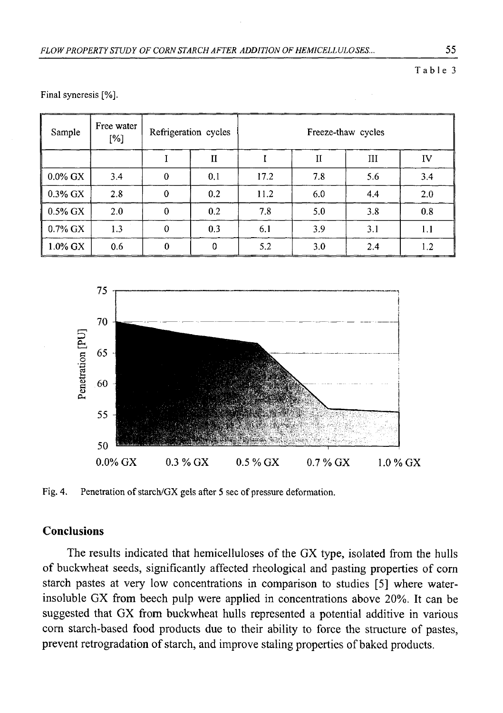Table 3

| Sample     | Free water<br>[%] |              | Refrigeration cycles | Freeze-thaw cycles |              |     |     |  |
|------------|-------------------|--------------|----------------------|--------------------|--------------|-----|-----|--|
|            |                   |              | $\mathbf{I}$         |                    | $\mathbf{I}$ | III | IV  |  |
| $0.0\%$ GX | 3.4               | $\mathbf 0$  | 0.1                  | 17.2               | 7.8          | 5.6 | 3.4 |  |
| 0.3% GX    | 2.8               | $\mathbf 0$  | 0.2                  | 11.2               | 6.0          | 4.4 | 2.0 |  |
| 0.5% GX    | 2.0               | $\mathbf{0}$ | 0.2                  | 7.8                | 5.0          | 3.8 | 0.8 |  |
| $0.7\%$ GX | 1.3               | $\theta$     | 0.3                  | 6.1                | 3.9          | 3.1 | 1.1 |  |
| $1.0\%$ GX | 0.6               | 0            | 0                    | 5.2                | 3.0          | 2.4 | 1.2 |  |

Final syneresis [%].



Fig. 4. Penetration of starch/GX gels after 5 sec of pressure deformation.

# **Conclusions**

The results indicated that hemicelluloses of the GX type, isolated from the hulls of buckwheat seeds, significantly affected rheological and pasting properties of com starch pastes at very low concentrations in comparison to studies [5] where waterinsoluble GX from beech pulp were applied in concentrations above 20%. It can be suggested that GX from buckwheat hulls represented a potential additive in various com starch-based food products due to their ability to force the structure of pastes, prevent retrogradation of starch, and improve staling properties of baked products.